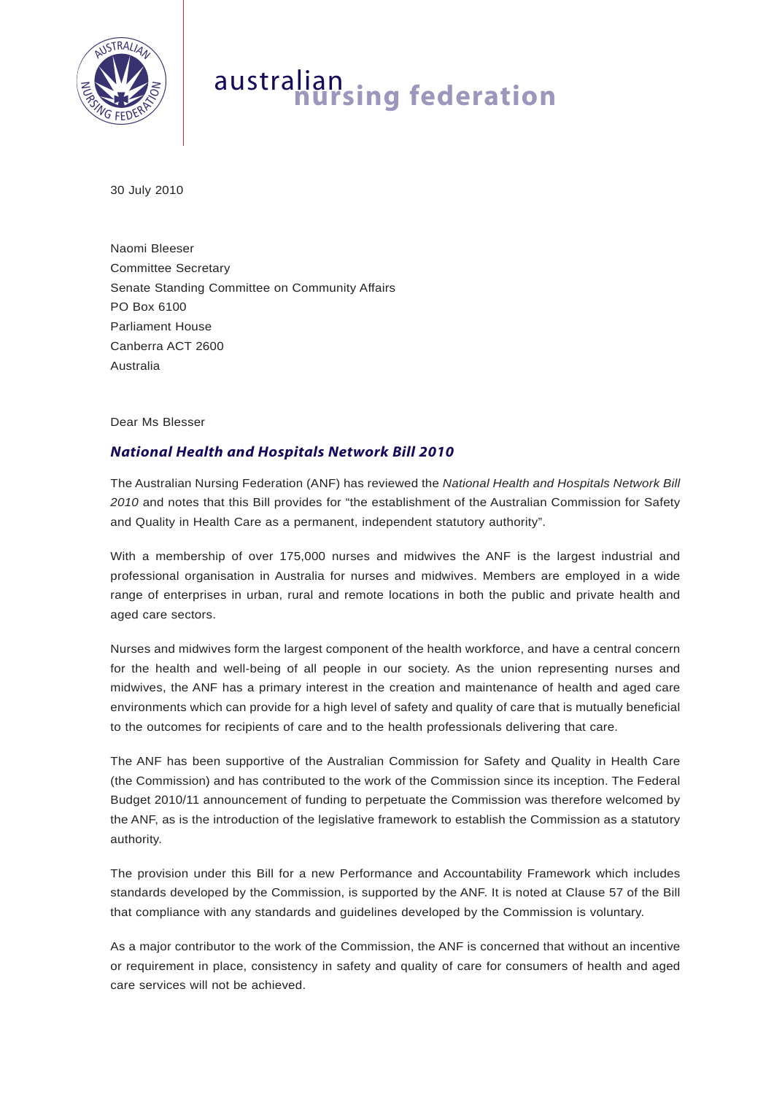

## australian **nursing federation**

30 July 2010

Naomi Bleeser Committee Secretary Senate Standing Committee on Community Affairs PO Box 6100 Parliament House Canberra ACT 2600 Australia

Dear Ms Blesser

## *National Health and Hospitals Network Bill 2010*

The Australian Nursing Federation (ANF) has reviewed the *National Health and Hospitals Network Bill 2010* and notes that this Bill provides for "the establishment of the Australian Commission for Safety and Quality in Health Care as a permanent, independent statutory authority".

With a membership of over 175,000 nurses and midwives the ANF is the largest industrial and professional organisation in Australia for nurses and midwives. Members are employed in a wide range of enterprises in urban, rural and remote locations in both the public and private health and aged care sectors.

Nurses and midwives form the largest component of the health workforce, and have a central concern for the health and well-being of all people in our society. As the union representing nurses and midwives, the ANF has a primary interest in the creation and maintenance of health and aged care environments which can provide for a high level of safety and quality of care that is mutually beneficial to the outcomes for recipients of care and to the health professionals delivering that care.

The ANF has been supportive of the Australian Commission for Safety and Quality in Health Care (the Commission) and has contributed to the work of the Commission since its inception. The Federal Budget 2010/11 announcement of funding to perpetuate the Commission was therefore welcomed by the ANF, as is the introduction of the legislative framework to establish the Commission as a statutory authority.

The provision under this Bill for a new Performance and Accountability Framework which includes standards developed by the Commission, is supported by the ANF. It is noted at Clause 57 of the Bill that compliance with any standards and guidelines developed by the Commission is voluntary.

As a major contributor to the work of the Commission, the ANF is concerned that without an incentive or requirement in place, consistency in safety and quality of care for consumers of health and aged care services will not be achieved.